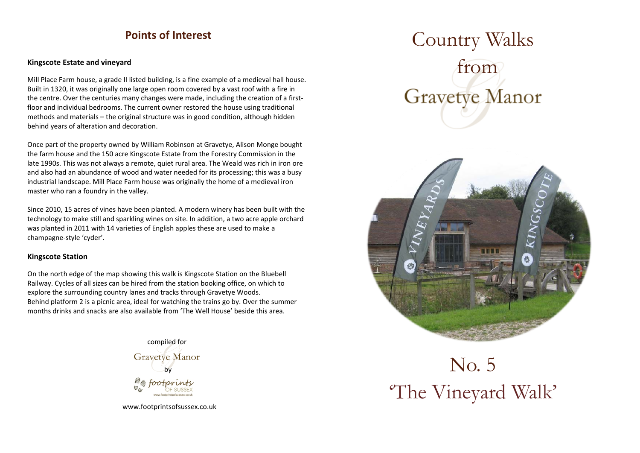### **Points of Interest**

#### **Kingscote Estate and vineyard**

Mill Place Farm house, a grade II listed building, is a fine example of a medieval hall house. Built in 1320, it was originally one large open room covered by a vast roof with a fire in the centre. Over the centuries many changes were made, including the creation of a firstfloor and individual bedrooms. The current owner restored the house using traditional methods and materials – the original structure was in good condition, although hidden behind years of alteration and decoration.

Once part of the property owned by William Robinson at Gravetye, Alison Monge bought the farm house and the 150 acre Kingscote Estate from the Forestry Commission in the late 1990s. This was not always a remote, quiet rural area. The Weald was rich in iron ore and also had an abundance of wood and water needed for its processing; this was a busy industrial landscape. Mill Place Farm house was originally the home of a medieval iron master who ran a foundry in the valley.

Since 2010, 15 acres of vines have been planted. A modern winery has been built with the technology to make still and sparkling wines on site. In addition, a two acre apple orchard was planted in 2011 with 14 varieties of English apples these are used to make a champagne-style 'cyder'.

### **Kingscote Station**

On the north edge of the map showing this walk is Kingscote Station on the Bluebell Railway. Cycles of all sizes can be hired from the station booking office, on which to explore the surrounding country lanes and tracks through Gravetye Woods. Behind platform 2 is a picnic area, ideal for watching the trains go by. Over the summer months drinks and snacks are also available from 'The Well House' beside this area.



[www.footprintsofsussex.co.uk](http://www.footprintsofsussex.co.uk/)

# Country Walks from **Gravetye Manor**



# No. 5 'The Vineyard Walk'